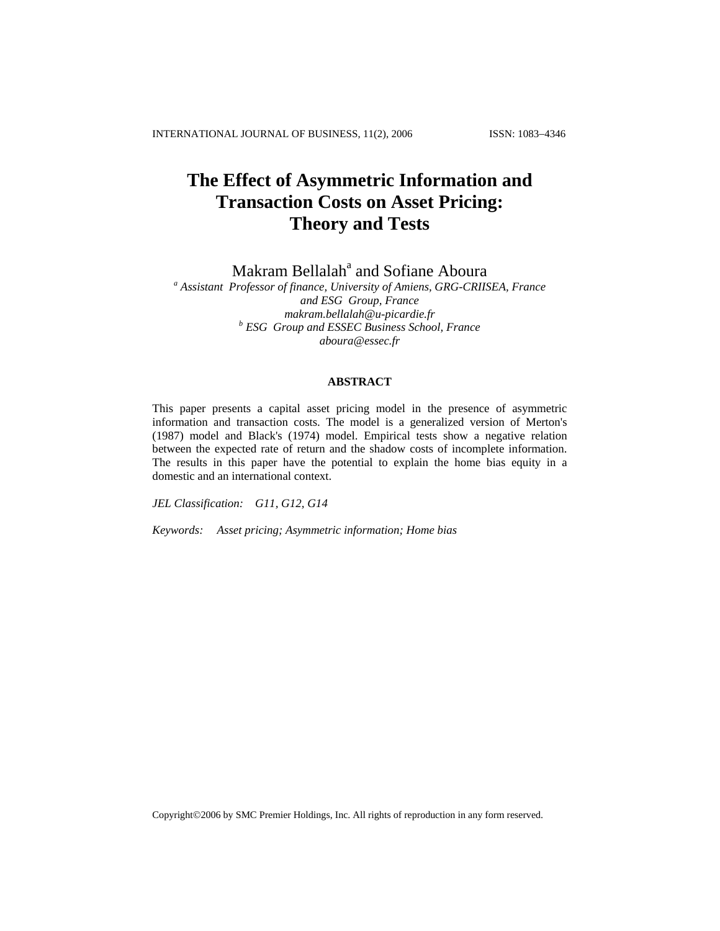INTERNATIONAL JOURNAL OF BUSINESS, 11(2), 2006 ISSN: 1083−4346

# **The Effect of Asymmetric Information and Transaction Costs on Asset Pricing: Theory and Tests**

Makram Bellalah<sup>a</sup> and Sofiane Aboura

 *Assistant Professor of finance, University of Amiens, GRG-CRIISEA, France and ESG Group, France [makram.bellalah@u-picardie.fr](mailto:makram.bellalah@u-picardie.fr) <sup>b</sup> ESG Group and ESSEC Business School, France aboura@essec.fr*

## **ABSTRACT**

This paper presents a capital asset pricing model in the presence of asymmetric information and transaction costs. The model is a generalized version of Merton's (1987) model and Black's (1974) model. Empirical tests show a negative relation between the expected rate of return and the shadow costs of incomplete information. The results in this paper have the potential to explain the home bias equity in a domestic and an international context.

*JEL Classification: G11, G12, G14*

*Keywords: Asset pricing; Asymmetric information; Home bias*

Copyright©2006 by SMC Premier Holdings, Inc. All rights of reproduction in any form reserved.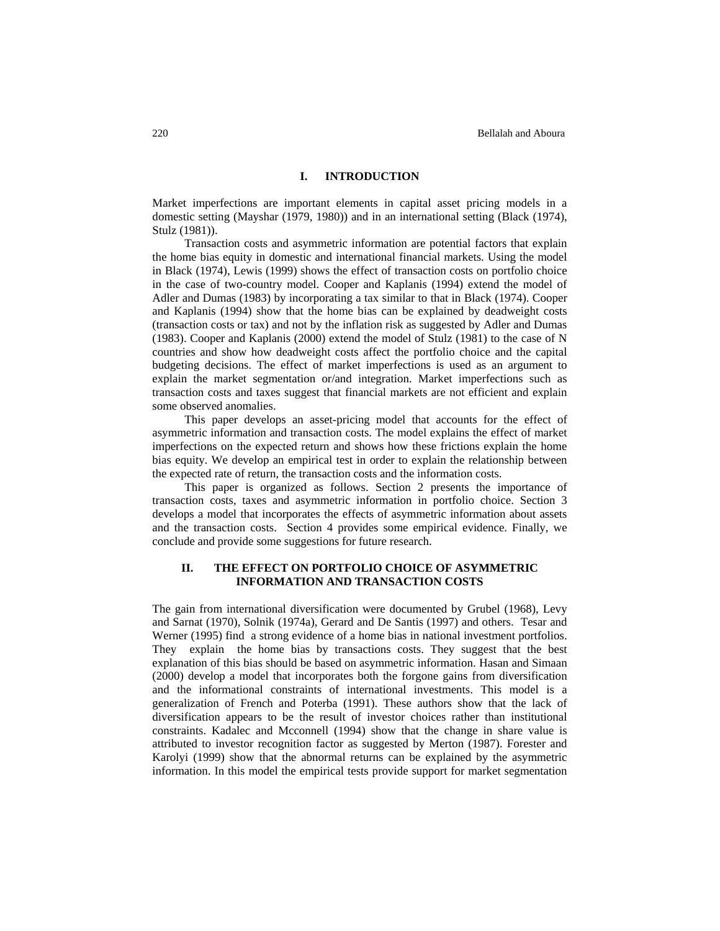## **I. INTRODUCTION**

Market imperfections are important elements in capital asset pricing models in a domestic setting (Mayshar (1979, 1980)) and in an international setting (Black (1974), Stulz (1981)).

Transaction costs and asymmetric information are potential factors that explain the home bias equity in domestic and international financial markets. Using the model in Black (1974), Lewis (1999) shows the effect of transaction costs on portfolio choice in the case of two-country model. Cooper and Kaplanis (1994) extend the model of Adler and Dumas (1983) by incorporating a tax similar to that in Black (1974). Cooper and Kaplanis (1994) show that the home bias can be explained by deadweight costs (transaction costs or tax) and not by the inflation risk as suggested by Adler and Dumas (1983). Cooper and Kaplanis (2000) extend the model of Stulz (1981) to the case of N countries and show how deadweight costs affect the portfolio choice and the capital budgeting decisions. The effect of market imperfections is used as an argument to explain the market segmentation or/and integration. Market imperfections such as transaction costs and taxes suggest that financial markets are not efficient and explain some observed anomalies.

This paper develops an asset-pricing model that accounts for the effect of asymmetric information and transaction costs. The model explains the effect of market imperfections on the expected return and shows how these frictions explain the home bias equity. We develop an empirical test in order to explain the relationship between the expected rate of return, the transaction costs and the information costs.

This paper is organized as follows. Section 2 presents the importance of transaction costs, taxes and asymmetric information in portfolio choice. Section 3 develops a model that incorporates the effects of asymmetric information about assets and the transaction costs. Section 4 provides some empirical evidence. Finally, we conclude and provide some suggestions for future research.

# **II. THE EFFECT ON PORTFOLIO CHOICE OF ASYMMETRIC INFORMATION AND TRANSACTION COSTS**

The gain from international diversification were documented by Grubel (1968), Levy and Sarnat (1970), Solnik (1974a), Gerard and De Santis (1997) and others. Tesar and Werner (1995) find a strong evidence of a home bias in national investment portfolios. They explain the home bias by transactions costs. They suggest that the best explanation of this bias should be based on asymmetric information. Hasan and Simaan (2000) develop a model that incorporates both the forgone gains from diversification and the informational constraints of international investments. This model is a generalization of French and Poterba (1991). These authors show that the lack of diversification appears to be the result of investor choices rather than institutional constraints. Kadalec and Mcconnell (1994) show that the change in share value is attributed to investor recognition factor as suggested by Merton (1987). Forester and Karolyi (1999) show that the abnormal returns can be explained by the asymmetric information. In this model the empirical tests provide support for market segmentation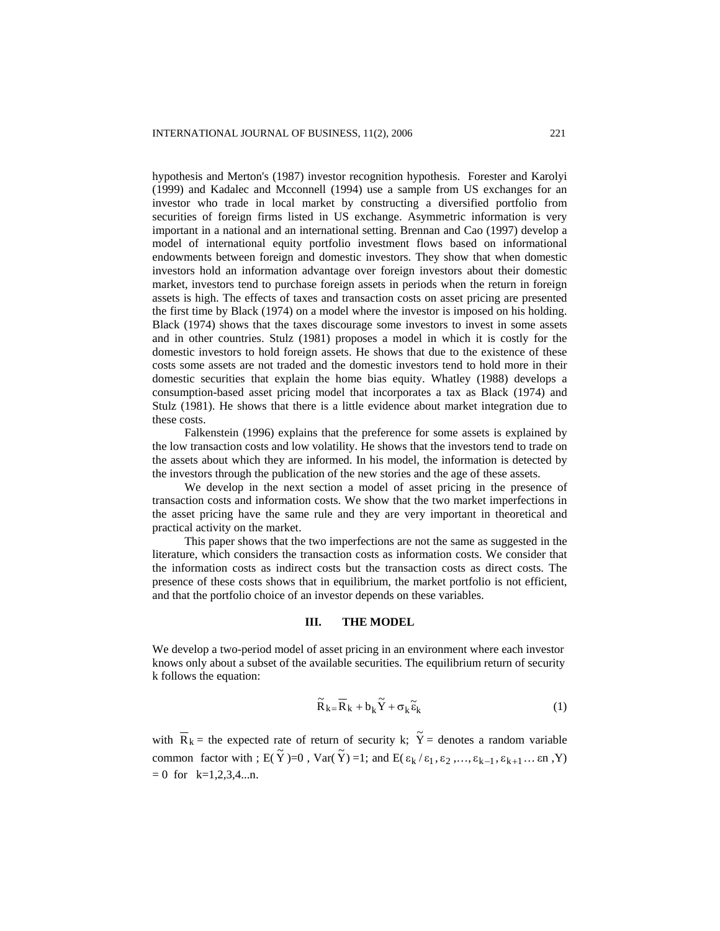hypothesis and Merton's (1987) investor recognition hypothesis. Forester and Karolyi (1999) and Kadalec and Mcconnell (1994) use a sample from US exchanges for an investor who trade in local market by constructing a diversified portfolio from securities of foreign firms listed in US exchange. Asymmetric information is very important in a national and an international setting. Brennan and Cao (1997) develop a model of international equity portfolio investment flows based on informational endowments between foreign and domestic investors. They show that when domestic investors hold an information advantage over foreign investors about their domestic market, investors tend to purchase foreign assets in periods when the return in foreign assets is high. The effects of taxes and transaction costs on asset pricing are presented the first time by Black (1974) on a model where the investor is imposed on his holding. Black (1974) shows that the taxes discourage some investors to invest in some assets and in other countries. Stulz (1981) proposes a model in which it is costly for the domestic investors to hold foreign assets. He shows that due to the existence of these costs some assets are not traded and the domestic investors tend to hold more in their domestic securities that explain the home bias equity. Whatley (1988) develops a consumption-based asset pricing model that incorporates a tax as Black (1974) and Stulz (1981). He shows that there is a little evidence about market integration due to these costs.

Falkenstein (1996) explains that the preference for some assets is explained by the low transaction costs and low volatility. He shows that the investors tend to trade on the assets about which they are informed. In his model, the information is detected by the investors through the publication of the new stories and the age of these assets.

We develop in the next section a model of asset pricing in the presence of transaction costs and information costs. We show that the two market imperfections in the asset pricing have the same rule and they are very important in theoretical and practical activity on the market.

This paper shows that the two imperfections are not the same as suggested in the literature, which considers the transaction costs as information costs. We consider that the information costs as indirect costs but the transaction costs as direct costs. The presence of these costs shows that in equilibrium, the market portfolio is not efficient, and that the portfolio choice of an investor depends on these variables.

## **III. THE MODEL**

We develop a two-period model of asset pricing in an environment where each investor knows only about a subset of the available securities. The equilibrium return of security k follows the equation:

$$
\widetilde{R}_{k} = \overline{R}_{k} + b_{k} \widetilde{Y} + \sigma_{k} \widetilde{\epsilon}_{k}
$$
 (1)

with  $\overline{R}_k$  = the expected rate of return of security k;  $\tilde{Y}$  = denotes a random variable common factor with ;  $E(\tilde{Y})=0$ ,  $Var(\tilde{Y})=1$ ; and  $E(\varepsilon_k/\varepsilon_1, \varepsilon_2, ..., \varepsilon_{k-1}, \varepsilon_{k+1} ... \varepsilon_n, Y)$  $= 0$  for  $k=1,2,3,4...n$ .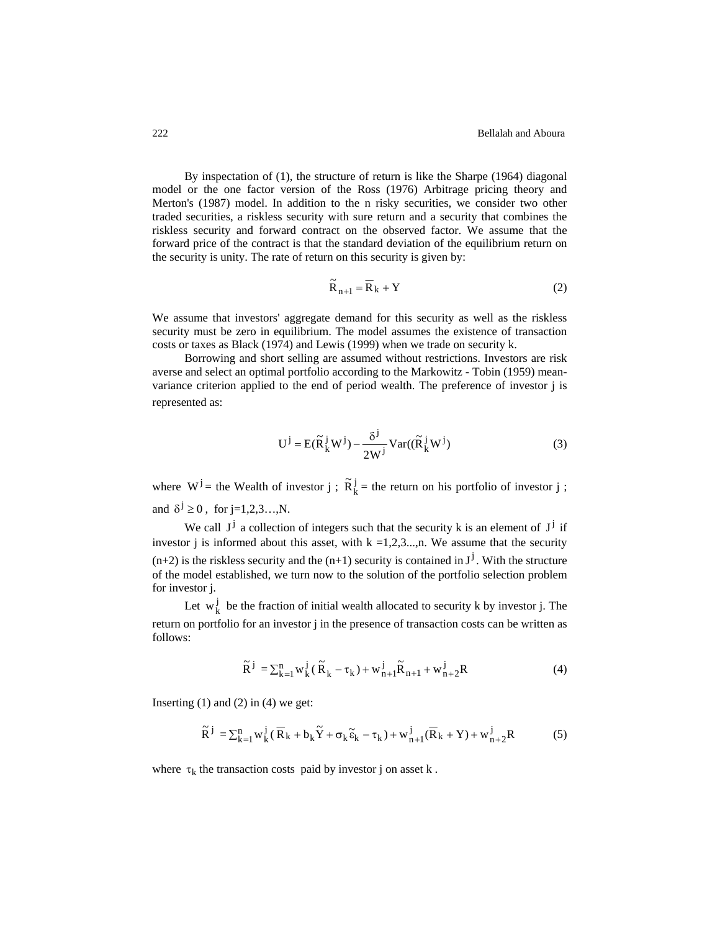By inspectation of (1), the structure of return is like the Sharpe (1964) diagonal model or the one factor version of the Ross (1976) Arbitrage pricing theory and Merton's (1987) model. In addition to the n risky securities, we consider two other traded securities, a riskless security with sure return and a security that combines the riskless security and forward contract on the observed factor. We assume that the forward price of the contract is that the standard deviation of the equilibrium return on the security is unity. The rate of return on this security is given by:

$$
\widetilde{\mathbf{R}}_{n+1} = \overline{\mathbf{R}}_{k} + \mathbf{Y} \tag{2}
$$

We assume that investors' aggregate demand for this security as well as the riskless security must be zero in equilibrium. The model assumes the existence of transaction costs or taxes as Black (1974) and Lewis (1999) when we trade on security k.

Borrowing and short selling are assumed without restrictions. Investors are risk averse and select an optimal portfolio according to the Markowitz - Tobin (1959) meanvariance criterion applied to the end of period wealth. The preference of investor j is represented as:

$$
U^{j} = E(\tilde{R}_{k}^{j} W^{j}) - \frac{\delta^{j}}{2W^{j}} Var((\tilde{R}_{k}^{j} W^{j})
$$
 (3)

where  $W^j$  = the Wealth of investor j;  $\tilde{R}^j_k$  = the return on his portfolio of investor j; and  $\delta^j \geq 0$ , for j=1,2,3…,N.

We call  $J^j$  a collection of integers such that the security k is an element of  $J^j$  if investor j is informed about this asset, with  $k = 1, 2, 3, \ldots, n$ . We assume that the security  $(n+2)$  is the riskless security and the  $(n+1)$  security is contained in  $J^j$ . With the structure of the model established, we turn now to the solution of the portfolio selection problem for investor j.

Let  $w_k^j$  be the fraction of initial wealth allocated to security k by investor j. The return on portfolio for an investor j in the presence of transaction costs can be written as follows:

$$
\tilde{R}^{j} = \sum_{k=1}^{n} w_{k}^{j} (\tilde{R}_{k} - \tau_{k}) + w_{n+1}^{j} \tilde{R}_{n+1} + w_{n+2}^{j} R
$$
\n(4)

Inserting  $(1)$  and  $(2)$  in  $(4)$  we get:

$$
\widetilde{R}^{\dot{j}} = \sum_{k=1}^{n} w_{k}^{\dot{j}} (\overline{R}_{k} + b_{k} \widetilde{Y} + \sigma_{k} \widetilde{\epsilon}_{k} - \tau_{k}) + w_{n+1}^{\dot{j}} (\overline{R}_{k} + Y) + w_{n+2}^{\dot{j}} R
$$
(5)

where  $\tau_k$  the transaction costs paid by investor j on asset k.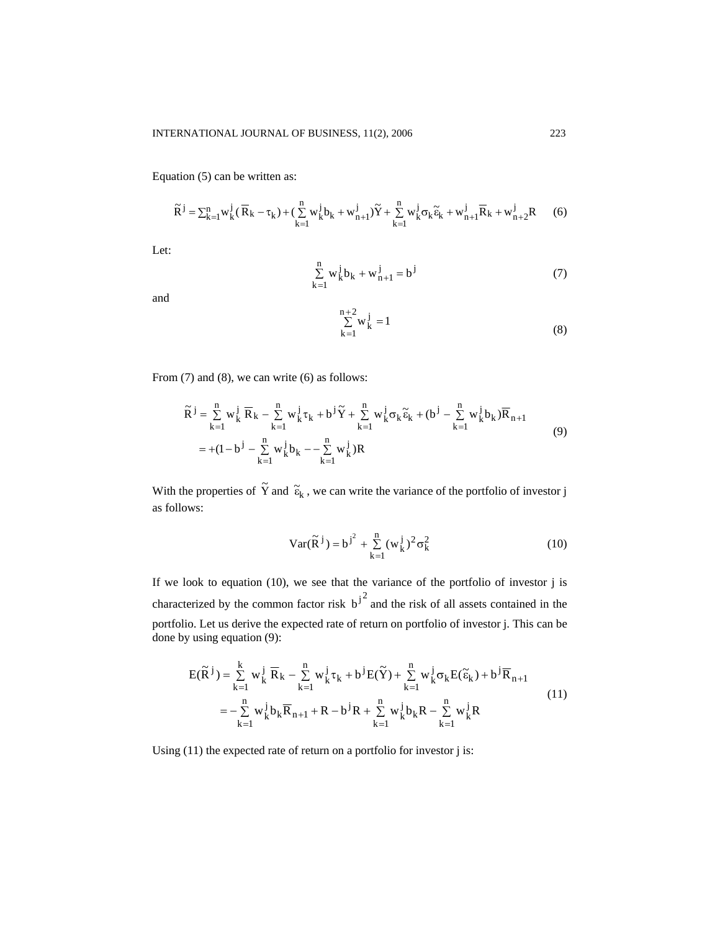Equation (5) can be written as:

$$
\widetilde{R}^j = \sum_{k=1}^n w_k^j (\overline{R}_k - \tau_k) + (\sum_{k=1}^n w_k^j b_k + w_{n+1}^j) \widetilde{Y} + \sum_{k=1}^n w_k^j \sigma_k \widetilde{\varepsilon}_k + w_{n+1}^j \overline{R}_k + w_{n+2}^j R \qquad (6)
$$

Let:

$$
\sum_{k=1}^{n} w_{k}^{j} b_{k} + w_{n+1}^{j} = b^{j}
$$
 (7)

and

$$
\sum_{k=1}^{n+2} w_k^j = 1
$$
 (8)

From (7) and (8), we can write (6) as follows:

$$
\widetilde{R}^{j} = \sum_{k=1}^{n} w_{k}^{j} \overline{R}_{k} - \sum_{k=1}^{n} w_{k}^{j} \tau_{k} + b^{j} \widetilde{Y} + \sum_{k=1}^{n} w_{k}^{j} \sigma_{k} \widetilde{\epsilon}_{k} + (b^{j} - \sum_{k=1}^{n} w_{k}^{j} b_{k}) \overline{R}_{n+1}
$$
\n
$$
= + (1 - b^{j} - \sum_{k=1}^{n} w_{k}^{j} b_{k} - \sum_{k=1}^{n} w_{k}^{j}) R
$$
\n(9)

With the properties of  $\tilde{Y}$  and  $\tilde{\epsilon}_k$ , we can write the variance of the portfolio of investor j as follows:

$$
Var(\tilde{R}^{j}) = b^{j^{2}} + \sum_{k=1}^{n} (w_{k}^{j})^{2} \sigma_{k}^{2}
$$
 (10)

If we look to equation (10), we see that the variance of the portfolio of investor j is characterized by the common factor risk  $b^{j^2}$  and the risk of all assets contained in the portfolio. Let us derive the expected rate of return on portfolio of investor j. This can be done by using equation (9):

$$
E(\tilde{R}^{j}) = \sum_{k=1}^{k} w_{k}^{j} \overline{R}_{k} - \sum_{k=1}^{n} w_{k}^{j} \tau_{k} + b^{j} E(\tilde{Y}) + \sum_{k=1}^{n} w_{k}^{j} \sigma_{k} E(\tilde{\varepsilon}_{k}) + b^{j} \overline{R}_{n+1}
$$
  

$$
= -\sum_{k=1}^{n} w_{k}^{j} b_{k} \overline{R}_{n+1} + R - b^{j} R + \sum_{k=1}^{n} w_{k}^{j} b_{k} R - \sum_{k=1}^{n} w_{k}^{j} R
$$
(11)

Using (11) the expected rate of return on a portfolio for investor j is: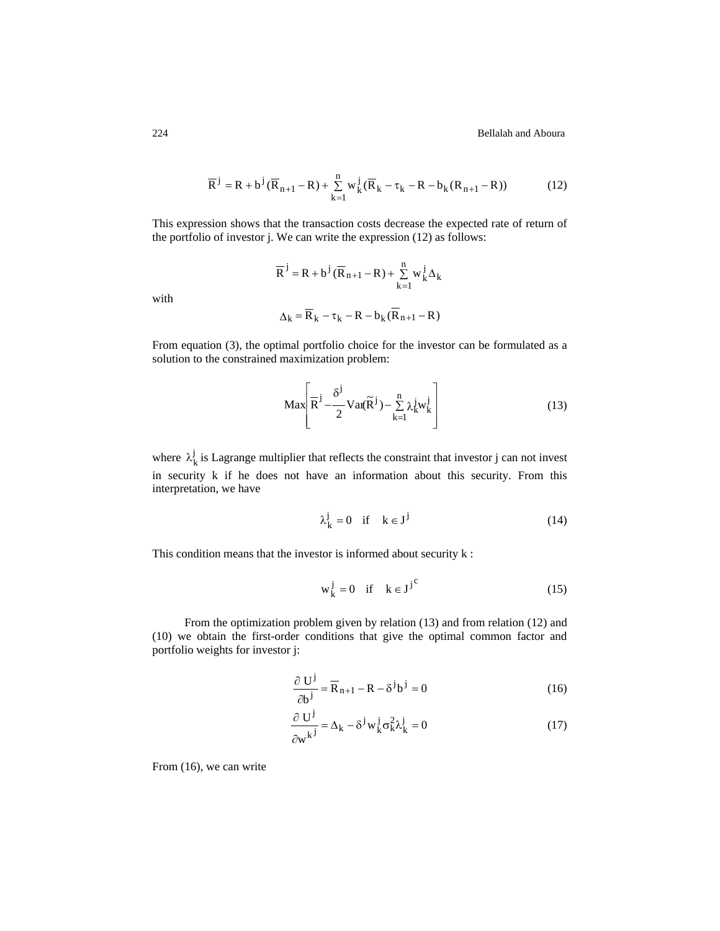224 Bellalah and Aboura

$$
\overline{R}^{j} = R + b^{j}(\overline{R}_{n+1} - R) + \sum_{k=1}^{n} w_{k}^{j}(\overline{R}_{k} - \tau_{k} - R - b_{k}(R_{n+1} - R))
$$
(12)

This expression shows that the transaction costs decrease the expected rate of return of the portfolio of investor j. We can write the expression (12) as follows:

$$
\overline{R}^{j} = R + b^{j} (\overline{R}_{n+1} - R) + \sum_{k=1}^{n} w_{k}^{j} \Delta_{k}
$$

with

$$
\Delta_{k} = \overline{R}_{k} - \tau_{k} - R - b_{k}(\overline{R}_{n+1} - R)
$$

From equation (3), the optimal portfolio choice for the investor can be formulated as a solution to the constrained maximization problem:

$$
\text{Max}\left[\overline{\mathbf{R}}^{\mathbf{j}} - \frac{\delta^{\mathbf{j}}}{2} \text{Var}(\widetilde{\mathbf{R}}^{\mathbf{j}}) - \sum_{k=1}^{n} \lambda_k^{\mathbf{j}} \mathbf{w}_k^{\mathbf{j}}\right]
$$
(13)

where  $\lambda_k^j$  is Lagrange multiplier that reflects the constraint that investor j can not invest in security k if he does not have an information about this security. From this interpretation, we have

$$
\lambda_k^j = 0 \quad \text{if} \quad k \in J^j \tag{14}
$$

This condition means that the investor is informed about security k :

$$
w_k^j = 0 \quad \text{if} \quad k \in J^{j^c} \tag{15}
$$

From the optimization problem given by relation (13) and from relation (12) and (10) we obtain the first-order conditions that give the optimal common factor and portfolio weights for investor j:

$$
\frac{\partial U^j}{\partial b^j} = \overline{R}_{n+1} - R - \delta^j b^j = 0
$$
 (16)

$$
\frac{\partial \mathbf{U}^{j}}{\partial \mathbf{w}^{k}} = \Delta_{k} - \delta^{j} \mathbf{w}_{k}^{j} \sigma_{k}^{2} \lambda_{k}^{j} = 0
$$
\n(17)

From (16), we can write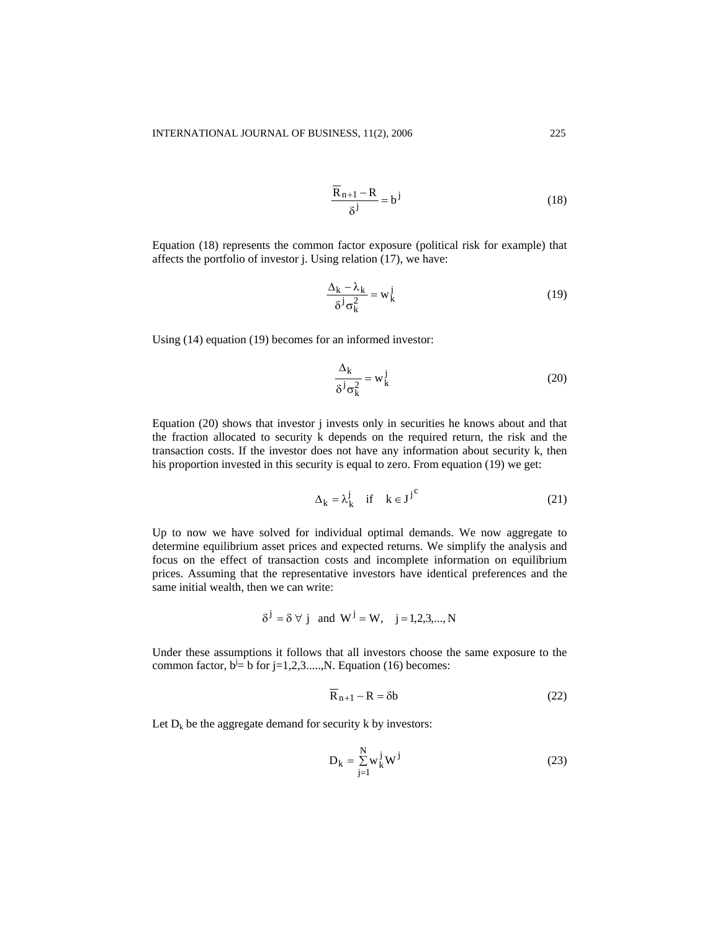$$
\frac{R_{n+1} - R}{\delta^j} = b^j \tag{18}
$$

Equation (18) represents the common factor exposure (political risk for example) that affects the portfolio of investor j. Using relation (17), we have:

$$
\frac{\Delta_k - \lambda_k}{\delta^j \sigma_k^2} = w_k^j \tag{19}
$$

Using (14) equation (19) becomes for an informed investor:

$$
\frac{\Delta_{k}}{\delta^{j}\sigma_{k}^{2}} = w_{k}^{j}
$$
 (20)

Equation (20) shows that investor j invests only in securities he knows about and that the fraction allocated to security k depends on the required return, the risk and the transaction costs. If the investor does not have any information about security k, then his proportion invested in this security is equal to zero. From equation (19) we get:

$$
\Delta_{k} = \lambda_{k}^{j} \quad \text{if} \quad k \in J^{j^{c}} \tag{21}
$$

Up to now we have solved for individual optimal demands. We now aggregate to determine equilibrium asset prices and expected returns. We simplify the analysis and focus on the effect of transaction costs and incomplete information on equilibrium prices. Assuming that the representative investors have identical preferences and the same initial wealth, then we can write:

$$
\delta^j = \delta \ \forall \ j \text{ and } W^j = W, \ j = 1, 2, 3, \dots, N
$$

Under these assumptions it follows that all investors choose the same exposure to the common factor,  $b = b$  for j=1,2,3.....,N. Equation (16) becomes:

 $\sim$ 

$$
R_{n+1} - R = \delta b \tag{22}
$$

Let  $D_k$  be the aggregate demand for security k by investors:

$$
D_k = \sum_{j=1}^{N} w_k^j W^j
$$
 (23)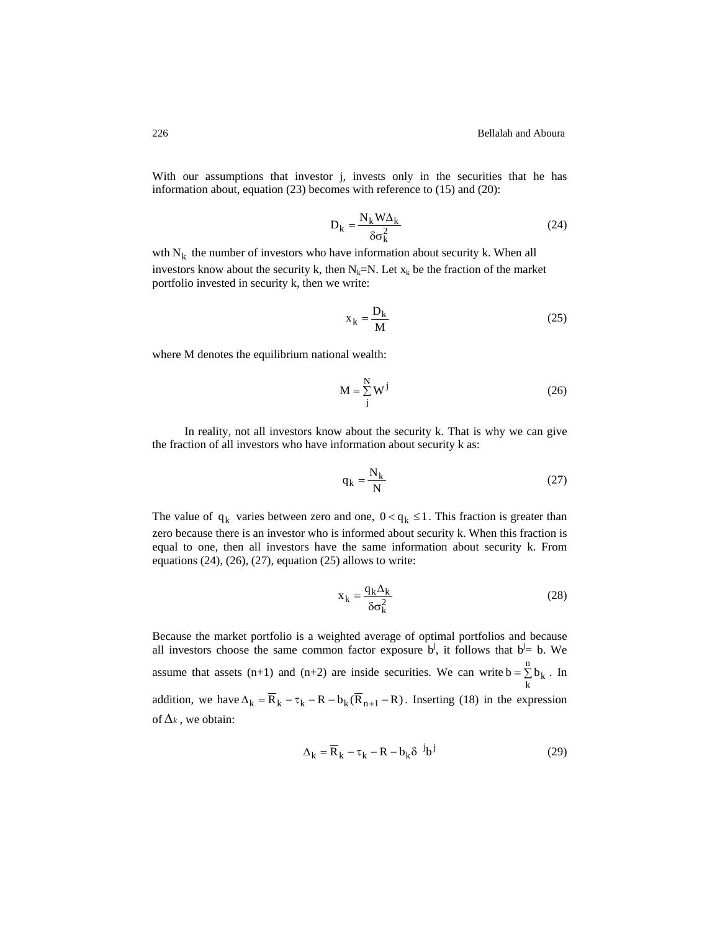With our assumptions that investor *j*, invests only in the securities that he has information about, equation (23) becomes with reference to (15) and (20):

$$
D_k = \frac{N_k W \Delta_k}{\delta \sigma_k^2}
$$
 (24)

wth  $N_k$  the number of investors who have information about security k. When all investors know about the security k, then  $N_k = N$ . Let  $x_k$  be the fraction of the market portfolio invested in security k, then we write:

$$
x_k = \frac{D_k}{M}
$$
 (25)

where M denotes the equilibrium national wealth:

$$
M = \sum_{j}^{N} W^{j}
$$
 (26)

In reality, not all investors know about the security k. That is why we can give the fraction of all investors who have information about security k as:

$$
q_k = \frac{N_k}{N} \tag{27}
$$

The value of  $q_k$  varies between zero and one,  $0 < q_k \leq 1$ . This fraction is greater than zero because there is an investor who is informed about security k. When this fraction is equal to one, then all investors have the same information about security k. From equations  $(24)$ ,  $(26)$ ,  $(27)$ , equation  $(25)$  allows to write:

$$
x_k = \frac{q_k \Delta_k}{\delta \sigma_k^2}
$$
 (28)

Because the market portfolio is a weighted average of optimal portfolios and because all investors choose the same common factor exposure  $\mathbf{b}^j$ , it follows that  $\mathbf{b}^j = \mathbf{b}$ . We assume that assets (n+1) and (n+2) are inside securities. We can write  $b = \sum_{k=1}^{n} b_k$ . In addition, we have  $\Delta_k = \overline{R}_k - \tau_k - R - b_k(\overline{R}_{n+1} - R)$ . Inserting (18) in the expression  $b = \sum_{k} b_k$ of  $\Delta$ *k*, we obtain:

$$
\Delta_{k} = \overline{R}_{k} - \tau_{k} - R - b_{k} \delta^{-j} b^{j}
$$
 (29)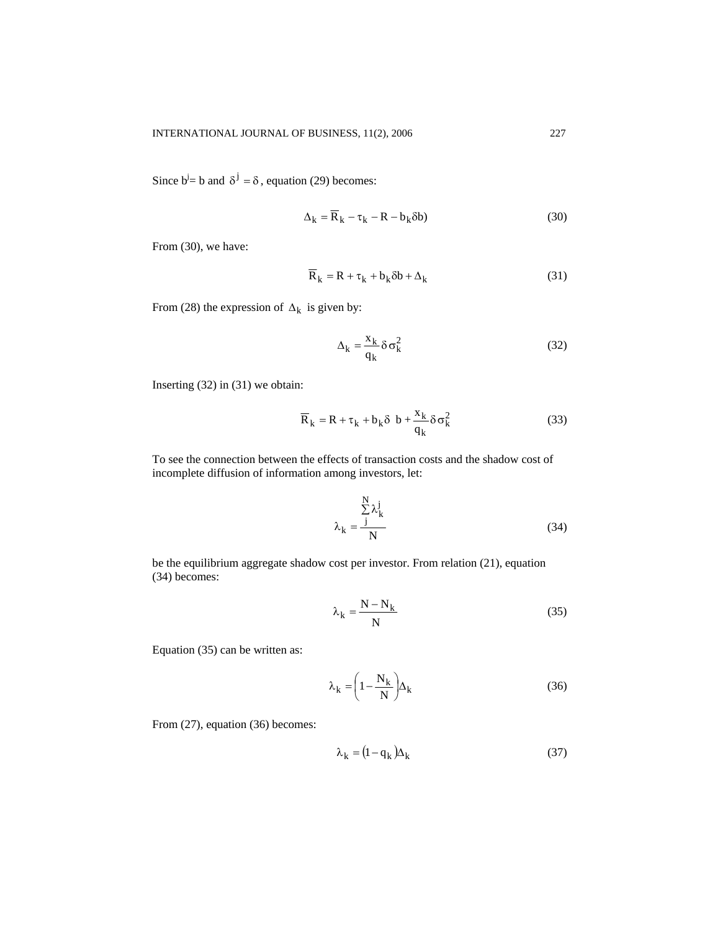Since  $b^j = b$  and  $\delta^j = \delta$ , equation (29) becomes:

$$
\Delta_{k} = \overline{R}_{k} - \tau_{k} - R - b_{k} \delta b)
$$
\n(30)

From (30), we have:

$$
\overline{R}_k = R + \tau_k + b_k \delta b + \Delta_k \tag{31}
$$

From (28) the expression of  $\Delta_k$  is given by:

$$
\Delta_{k} = \frac{x_{k}}{q_{k}} \delta \sigma_{k}^{2}
$$
 (32)

Inserting (32) in (31) we obtain:

$$
\overline{R}_k = R + \tau_k + b_k \delta b + \frac{x_k}{q_k} \delta \sigma_k^2
$$
 (33)

To see the connection between the effects of transaction costs and the shadow cost of incomplete diffusion of information among investors, let:

$$
\lambda_{k} = \frac{\sum_{j}^{N} \lambda_{k}^{j}}{N}
$$
 (34)

be the equilibrium aggregate shadow cost per investor. From relation (21), equation (34) becomes:

$$
\lambda_k = \frac{N - N_k}{N} \tag{35}
$$

Equation (35) can be written as:

$$
\lambda_{k} = \left(1 - \frac{N_{k}}{N}\right) \Delta_{k} \tag{36}
$$

From (27), equation (36) becomes:

$$
\lambda_{k} = (1 - q_{k}) \Delta_{k} \tag{37}
$$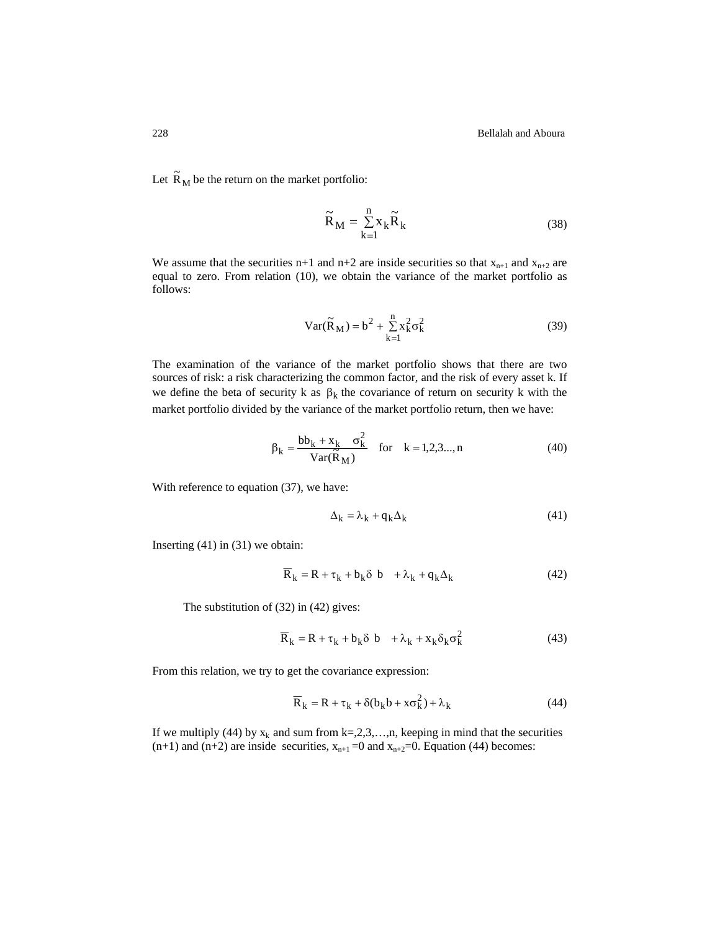Let  $\tilde{R}_M$  be the return on the market portfolio:

$$
\widetilde{\mathbf{R}}_{\mathbf{M}} = \sum_{k=1}^{n} \mathbf{x}_k \widetilde{\mathbf{R}}_k
$$
\n(38)

We assume that the securities n+1 and n+2 are inside securities so that  $x_{n+1}$  and  $x_{n+2}$  are equal to zero. From relation (10), we obtain the variance of the market portfolio as follows:

$$
Var(\widetilde{R}_M) = b^2 + \sum_{k=1}^{n} x_k^2 \sigma_k^2
$$
 (39)

The examination of the variance of the market portfolio shows that there are two sources of risk: a risk characterizing the common factor, and the risk of every asset k. If we define the beta of security k as  $\beta_k$  the covariance of return on security k with the market portfolio divided by the variance of the market portfolio return, then we have:

$$
\beta_{k} = \frac{bb_{k} + x_{k} \sigma_{k}^{2}}{Var(\widetilde{R}_{M})} \quad \text{for} \quad k = 1, 2, 3..., n \tag{40}
$$

With reference to equation (37), we have:

$$
\Delta_{k} = \lambda_{k} + q_{k} \Delta_{k} \tag{41}
$$

Inserting (41) in (31) we obtain:

$$
\overline{R}_k = R + \tau_k + b_k \delta \ b - \lambda_k + q_k \Delta_k \tag{42}
$$

The substitution of (32) in (42) gives:

$$
\overline{R}_k = R + \tau_k + b_k \delta b + \lambda_k + x_k \delta_k \sigma_k^2 \tag{43}
$$

From this relation, we try to get the covariance expression:

$$
\overline{R}_k = R + \tau_k + \delta(b_k b + x \sigma_k^2) + \lambda_k \tag{44}
$$

If we multiply (44) by  $x_k$  and sum from  $k=2,3,...,n$ , keeping in mind that the securities  $(n+1)$  and  $(n+2)$  are inside securities,  $x_{n+1}=0$  and  $x_{n+2}=0$ . Equation (44) becomes: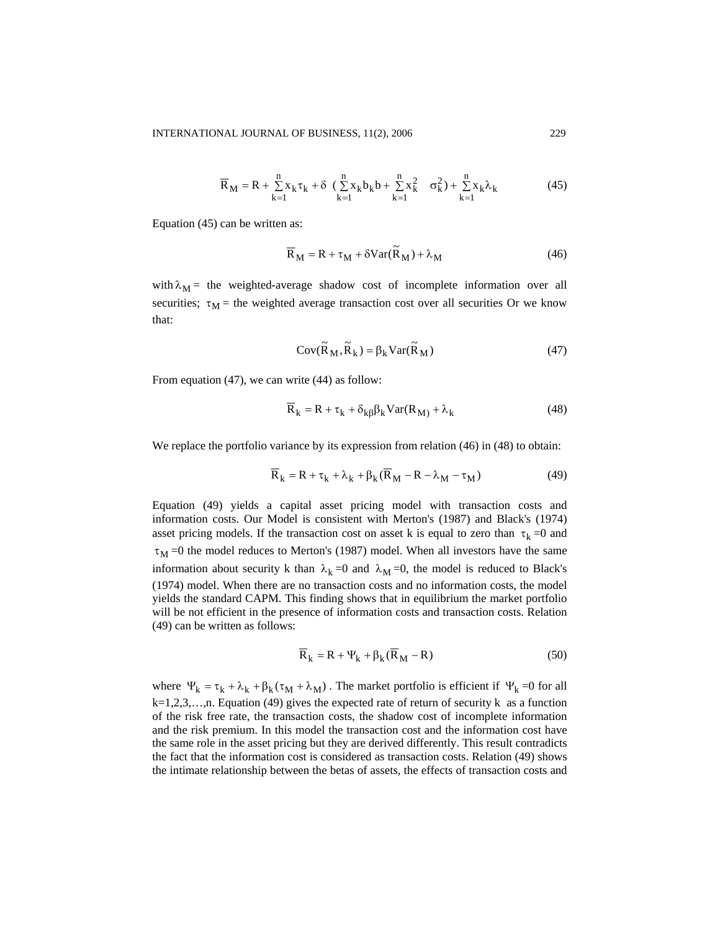$$
\overline{R}_{M} = R + \sum_{k=1}^{n} x_k \tau_k + \delta \left( \sum_{k=1}^{n} x_k b_k b + \sum_{k=1}^{n} x_k^2 \sigma_k^2 \right) + \sum_{k=1}^{n} x_k \lambda_k \tag{45}
$$

Equation (45) can be written as:

$$
\overline{R}_{M} = R + \tau_{M} + \delta Var(\tilde{R}_{M}) + \lambda_{M}
$$
\n(46)

with  $\lambda_M$  = the weighted-average shadow cost of incomplete information over all securities;  $\tau_M$  = the weighted average transaction cost over all securities Or we know that:

$$
Cov(\widetilde{R}_M, \widetilde{R}_k) = \beta_k Var(\widetilde{R}_M)
$$
\n(47)

From equation (47), we can write (44) as follow:

$$
\overline{R}_k = R + \tau_k + \delta_{k\beta} \beta_k \text{Var}(R_M) + \lambda_k \tag{48}
$$

We replace the portfolio variance by its expression from relation (46) in (48) to obtain:

$$
\overline{R}_k = R + \tau_k + \lambda_k + \beta_k (\overline{R}_M - R - \lambda_M - \tau_M)
$$
\n(49)

Equation (49) yields a capital asset pricing model with transaction costs and information costs. Our Model is consistent with Merton's (1987) and Black's (1974) asset pricing models. If the transaction cost on asset k is equal to zero than  $\tau_k = 0$  and  $\tau_M$  =0 the model reduces to Merton's (1987) model. When all investors have the same information about security k than  $\lambda_k = 0$  and  $\lambda_M = 0$ , the model is reduced to Black's (1974) model. When there are no transaction costs and no information costs, the model yields the standard CAPM. This finding shows that in equilibrium the market portfolio will be not efficient in the presence of information costs and transaction costs. Relation (49) can be written as follows:

$$
\overline{R}_k = R + \Psi_k + \beta_k (\overline{R}_M - R)
$$
\n(50)

where  $\Psi_k = \tau_k + \lambda_k + \beta_k (\tau_M + \lambda_M)$ . The market portfolio is efficient if  $\Psi_k = 0$  for all  $k=1,2,3,...,n$ . Equation (49) gives the expected rate of return of security k as a function of the risk free rate, the transaction costs, the shadow cost of incomplete information and the risk premium. In this model the transaction cost and the information cost have the same role in the asset pricing but they are derived differently. This result contradicts the fact that the information cost is considered as transaction costs. Relation (49) shows the intimate relationship between the betas of assets, the effects of transaction costs and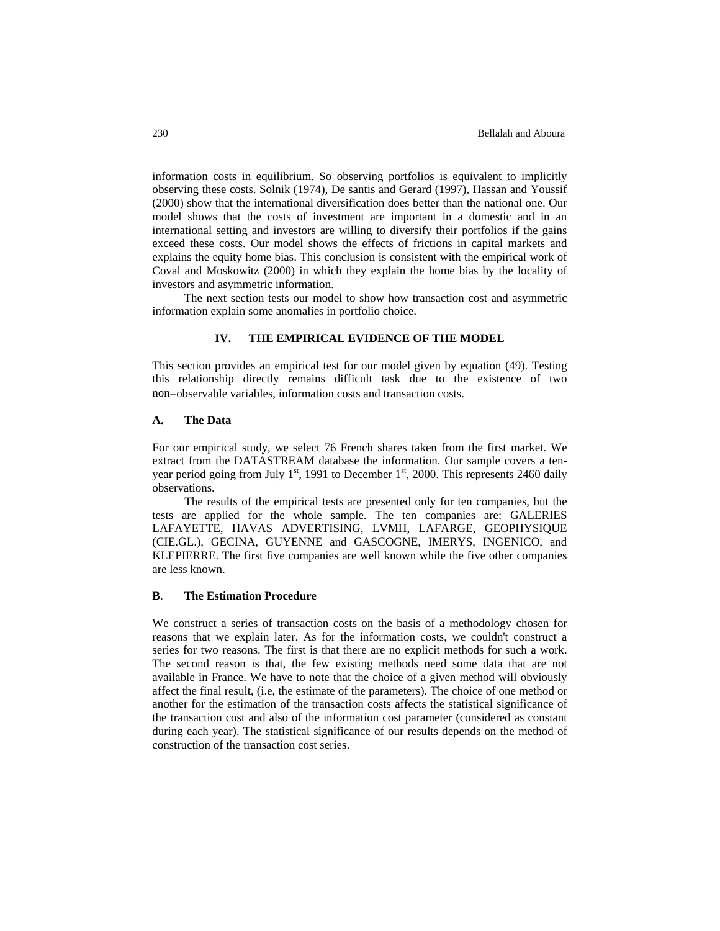information costs in equilibrium. So observing portfolios is equivalent to implicitly observing these costs. Solnik (1974), De santis and Gerard (1997), Hassan and Youssif (2000) show that the international diversification does better than the national one. Our model shows that the costs of investment are important in a domestic and in an international setting and investors are willing to diversify their portfolios if the gains exceed these costs. Our model shows the effects of frictions in capital markets and explains the equity home bias. This conclusion is consistent with the empirical work of Coval and Moskowitz (2000) in which they explain the home bias by the locality of investors and asymmetric information.

 The next section tests our model to show how transaction cost and asymmetric information explain some anomalies in portfolio choice.

### **IV. THE EMPIRICAL EVIDENCE OF THE MODEL**

This section provides an empirical test for our model given by equation (49). Testing this relationship directly remains difficult task due to the existence of two non−observable variables, information costs and transaction costs.

# **A. The Data**

For our empirical study, we select 76 French shares taken from the first market. We extract from the DATASTREAM database the information. Our sample covers a tenyear period going from July  $1<sup>st</sup>$ , 1991 to December  $1<sup>st</sup>$ , 2000. This represents 2460 daily observations.

The results of the empirical tests are presented only for ten companies, but the tests are applied for the whole sample. The ten companies are: GALERIES LAFAYETTE, HAVAS ADVERTISING, LVMH, LAFARGE, GEOPHYSIQUE (CIE.GL.), GECINA, GUYENNE and GASCOGNE, IMERYS, INGENICO, and KLEPIERRE. The first five companies are well known while the five other companies are less known.

## **B**. **The Estimation Procedure**

We construct a series of transaction costs on the basis of a methodology chosen for reasons that we explain later. As for the information costs, we couldn't construct a series for two reasons. The first is that there are no explicit methods for such a work. The second reason is that, the few existing methods need some data that are not available in France. We have to note that the choice of a given method will obviously affect the final result, (i.e, the estimate of the parameters). The choice of one method or another for the estimation of the transaction costs affects the statistical significance of the transaction cost and also of the information cost parameter (considered as constant during each year). The statistical significance of our results depends on the method of construction of the transaction cost series.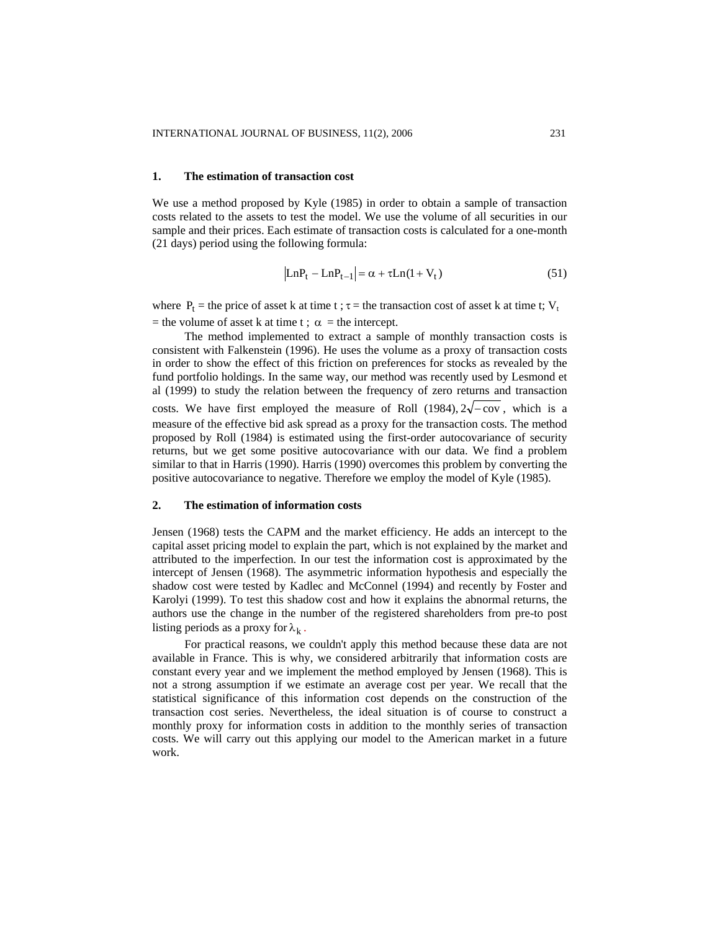### **1. The estimation of transaction cost**

We use a method proposed by Kyle (1985) in order to obtain a sample of transaction costs related to the assets to test the model. We use the volume of all securities in our sample and their prices. Each estimate of transaction costs is calculated for a one-month (21 days) period using the following formula:

$$
|\text{LnP}_t - \text{LnP}_{t-1}| = \alpha + \tau \text{Ln}(1 + V_t)
$$
\n(51)

where  $P_t$  = the price of asset k at time t;  $\tau$  = the transaction cost of asset k at time t;  $V_t$ = the volume of asset k at time t ;  $\alpha$  = the intercept.

The method implemented to extract a sample of monthly transaction costs is consistent with Falkenstein (1996). He uses the volume as a proxy of transaction costs in order to show the effect of this friction on preferences for stocks as revealed by the fund portfolio holdings. In the same way, our method was recently used by Lesmond et al (1999) to study the relation between the frequency of zero returns and transaction costs. We have first employed the measure of Roll (1984),  $2\sqrt{\phantom{0}}$  - cov, which is a measure of the effective bid ask spread as a proxy for the transaction costs. The method proposed by Roll (1984) is estimated using the first-order autocovariance of security returns, but we get some positive autocovariance with our data. We find a problem similar to that in Harris (1990). Harris (1990) overcomes this problem by converting the positive autocovariance to negative. Therefore we employ the model of Kyle (1985).

#### **2. The estimation of information costs**

Jensen (1968) tests the CAPM and the market efficiency. He adds an intercept to the capital asset pricing model to explain the part, which is not explained by the market and attributed to the imperfection. In our test the information cost is approximated by the intercept of Jensen (1968). The asymmetric information hypothesis and especially the shadow cost were tested by Kadlec and McConnel (1994) and recently by Foster and Karolyi (1999). To test this shadow cost and how it explains the abnormal returns, the authors use the change in the number of the registered shareholders from pre-to post listing periods as a proxy for  $\lambda_k$ .

For practical reasons, we couldn't apply this method because these data are not available in France. This is why, we considered arbitrarily that information costs are constant every year and we implement the method employed by Jensen (1968). This is not a strong assumption if we estimate an average cost per year. We recall that the statistical significance of this information cost depends on the construction of the transaction cost series. Nevertheless, the ideal situation is of course to construct a monthly proxy for information costs in addition to the monthly series of transaction costs. We will carry out this applying our model to the American market in a future work.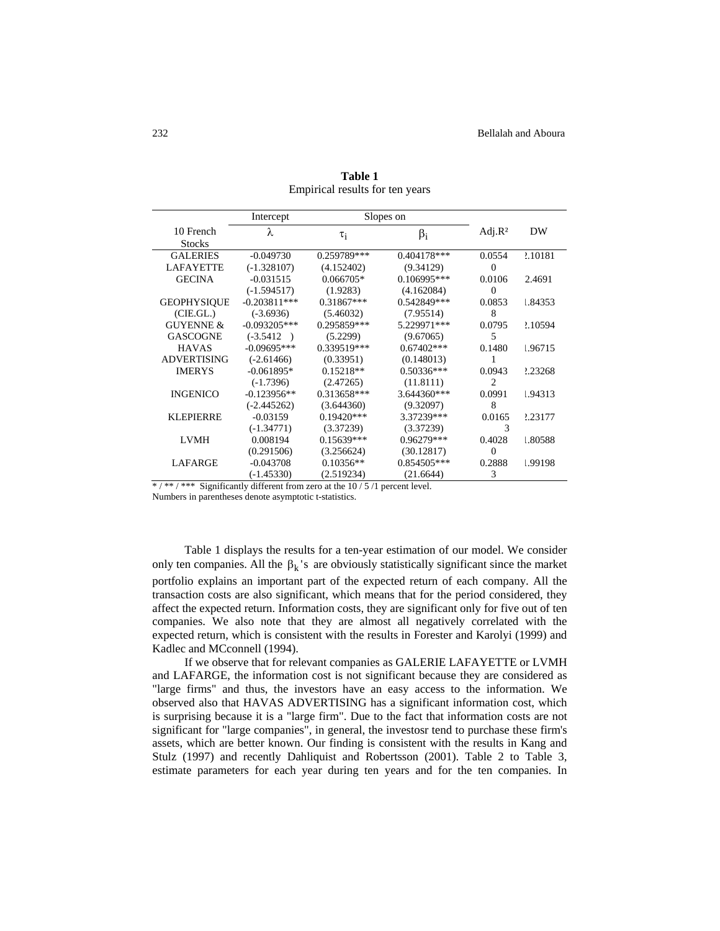|                      | Intercept      | Slopes on     |               |                             |         |
|----------------------|----------------|---------------|---------------|-----------------------------|---------|
| 10 French            | λ              | $\tau_i$      | $\beta_i$     | Adj. $R^2$                  | DW      |
| <b>Stocks</b>        |                |               |               |                             |         |
| <b>GALERIES</b>      | $-0.049730$    | 0.259789***   | $0.404178***$ | 0.0554                      | 2.10181 |
| <b>LAFAYETTE</b>     | $(-1.328107)$  | (4.152402)    | (9.34129)     | $\Omega$                    |         |
| <b>GECINA</b>        | $-0.031515$    | $0.066705*$   | 0.106995***   | 0.0106                      | 2.4691  |
|                      | $(-1.594517)$  | (1.9283)      | (4.162084)    | $\theta$                    |         |
| <b>GEOPHYSIQUE</b>   | $-0.203811***$ | $0.31867***$  | 0.542849***   | 0.0853                      | 1.84353 |
| (CIE.GL.)            | $(-3.6936)$    | (5.46032)     | (7.95514)     | 8                           |         |
| <b>GUYENNE &amp;</b> | $-0.093205***$ | 0.295859***   | 5.229971***   | 0.0795                      | 2.10594 |
| <b>GASCOGNE</b>      | $(-3.5412)$    | (5.2299)      | (9.67065)     | 5                           |         |
| <b>HAVAS</b>         | $-0.09695***$  | 0.339519***   | $0.67402***$  | 0.1480                      | 1.96715 |
| <b>ADVERTISING</b>   | $(-2.61466)$   | (0.33951)     | (0.148013)    |                             |         |
| <b>IMERYS</b>        | $-0.061895*$   | $0.15218**$   | $0.50336***$  | 0.0943                      | 2.23268 |
|                      | $(-1.7396)$    | (2.47265)     | (11.8111)     | $\mathcal{D}_{\mathcal{L}}$ |         |
| <b>INGENICO</b>      | $-0.123956**$  | $0.313658***$ | $3.644360***$ | 0.0991                      | 1.94313 |
|                      | $(-2.445262)$  | (3.644360)    | (9.32097)     | 8                           |         |
| <b>KLEPIERRE</b>     | $-0.03159$     | $0.19420***$  | 3.37239***    | 0.0165                      | 2.23177 |
|                      | $(-1.34771)$   | (3.37239)     | (3.37239)     | 3                           |         |
| <b>LVMH</b>          | 0.008194       | 0.15639***    | 0.96279***    | 0.4028                      | 1.80588 |
|                      | (0.291506)     | (3.256624)    | (30.12817)    | $\Omega$                    |         |
| LAFARGE              | $-0.043708$    | $0.10356**$   | $0.854505***$ | 0.2888                      | L.99198 |
|                      | $(-1.45330)$   | (2.519234)    | (21.6644)     | 3                           |         |

 **Table 1** Empirical results for ten years

\* / \*\* / \*\*\* Significantly different from zero at the 10 / 5 /1 percent level.

Numbers in parentheses denote asymptotic t-statistics.

Table 1 displays the results for a ten-year estimation of our model. We consider only ten companies. All the  $\beta_k$ 's are obviously statistically significant since the market portfolio explains an important part of the expected return of each company. All the transaction costs are also significant, which means that for the period considered, they affect the expected return. Information costs, they are significant only for five out of ten companies. We also note that they are almost all negatively correlated with the expected return, which is consistent with the results in Forester and Karolyi (1999) and Kadlec and MCconnell (1994).

If we observe that for relevant companies as GALERIE LAFAYETTE or LVMH and LAFARGE, the information cost is not significant because they are considered as "large firms" and thus, the investors have an easy access to the information. We observed also that HAVAS ADVERTISING has a significant information cost, which is surprising because it is a "large firm". Due to the fact that information costs are not significant for "large companies", in general, the investosr tend to purchase these firm's assets, which are better known. Our finding is consistent with the results in Kang and Stulz (1997) and recently Dahliquist and Robertsson (2001). Table 2 to Table 3, estimate parameters for each year during ten years and for the ten companies. In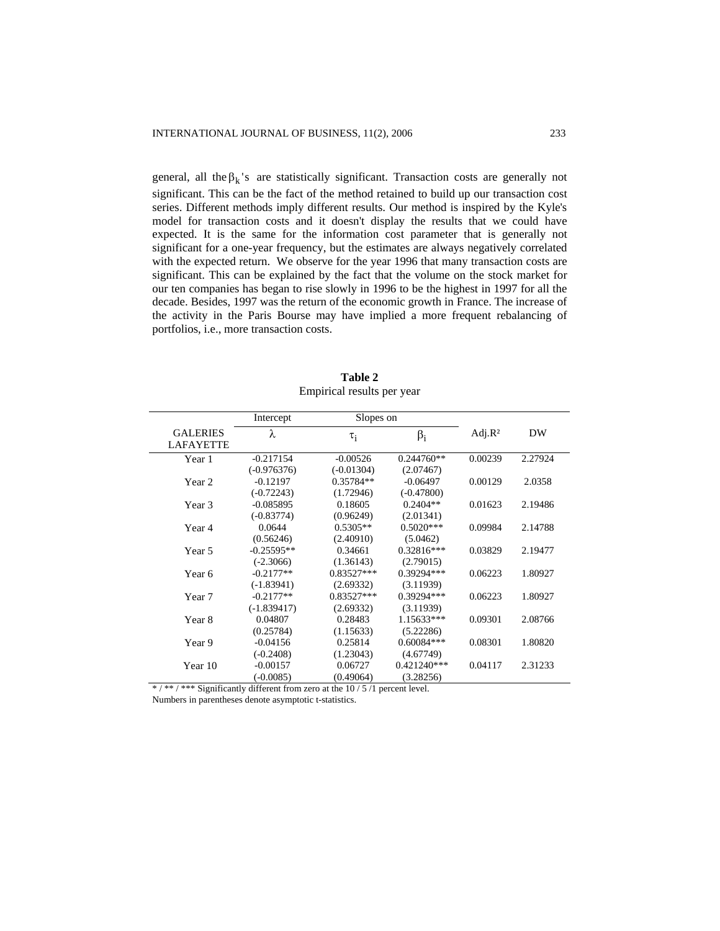general, all the  $\beta_k$ 's are statistically significant. Transaction costs are generally not significant. This can be the fact of the method retained to build up our transaction cost series. Different methods imply different results. Our method is inspired by the Kyle's model for transaction costs and it doesn't display the results that we could have expected. It is the same for the information cost parameter that is generally not significant for a one-year frequency, but the estimates are always negatively correlated with the expected return. We observe for the year 1996 that many transaction costs are significant. This can be explained by the fact that the volume on the stock market for our ten companies has began to rise slowly in 1996 to be the highest in 1997 for all the decade. Besides, 1997 was the return of the economic growth in France. The increase of the activity in the Paris Bourse may have implied a more frequent rebalancing of portfolios, i.e., more transaction costs.

|                                     | Intercept     | Slopes on    |              |            |         |
|-------------------------------------|---------------|--------------|--------------|------------|---------|
| <b>GALERIES</b><br><b>LAFAYETTE</b> | λ             | $\tau_i$     | $\beta_i$    | Adj. $R^2$ | DW      |
| Year 1                              | $-0.217154$   | $-0.00526$   | $0.244760**$ | 0.00239    | 2.27924 |
|                                     | $(-0.976376)$ | $(-0.01304)$ | (2.07467)    |            |         |
| Year 2                              | $-0.12197$    | $0.35784**$  | $-0.06497$   | 0.00129    | 2.0358  |
|                                     | $(-0.72243)$  | (1.72946)    | $(-0.47800)$ |            |         |
| Year 3                              | $-0.085895$   | 0.18605      | $0.2404**$   | 0.01623    | 2.19486 |
|                                     | $(-0.83774)$  | (0.96249)    | (2.01341)    |            |         |
| Year 4                              | 0.0644        | $0.5305**$   | $0.5020***$  | 0.09984    | 2.14788 |
|                                     | (0.56246)     | (2.40910)    | (5.0462)     |            |         |
| Year 5                              | $-0.25595**$  | 0.34661      | $0.32816***$ | 0.03829    | 2.19477 |
|                                     | $(-2.3066)$   | (1.36143)    | (2.79015)    |            |         |
| Year 6                              | $-0.2177**$   | $0.83527***$ | 0.39294***   | 0.06223    | 1.80927 |
|                                     | $(-1.83941)$  | (2.69332)    | (3.11939)    |            |         |
| Year 7                              | $-0.2177**$   | $0.83527***$ | 0.39294***   | 0.06223    | 1.80927 |
|                                     | $(-1.839417)$ | (2.69332)    | (3.11939)    |            |         |
| Year 8                              | 0.04807       | 0.28483      | 1.15633***   | 0.09301    | 2.08766 |
|                                     | (0.25784)     | (1.15633)    | (5.22286)    |            |         |
| Year 9                              | $-0.04156$    | 0.25814      | $0.60084***$ | 0.08301    | 1.80820 |
|                                     | $(-0.2408)$   | (1.23043)    | (4.67749)    |            |         |
| Year 10                             | $-0.00157$    | 0.06727      | 0.421240***  | 0.04117    | 2.31233 |
|                                     | $(-0.0085)$   | (0.49064)    | (3.28256)    |            |         |

**Table 2** Empirical results per year

\* / \*\* / \*\*\* Significantly different from zero at the 10 / 5 /1 percent level.

Numbers in parentheses denote asymptotic t-statistics.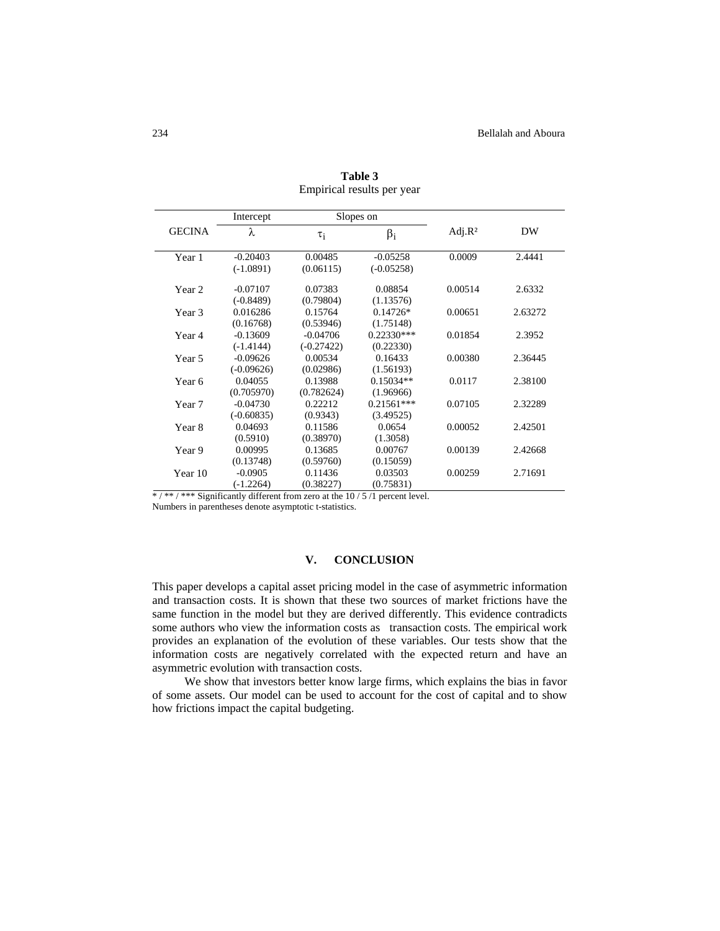|               | Intercept    | Slopes on    |              |            |         |
|---------------|--------------|--------------|--------------|------------|---------|
| <b>GECINA</b> | λ            | $\tau_i$     | $\beta_i$    | Adj. $R^2$ | DW      |
| Year 1        | $-0.20403$   | 0.00485      | $-0.05258$   | 0.0009     | 2.4441  |
|               | $(-1.0891)$  | (0.06115)    | $(-0.05258)$ |            |         |
| Year 2        | $-0.07107$   | 0.07383      | 0.08854      | 0.00514    | 2.6332  |
|               | $(-0.8489)$  | (0.79804)    | (1.13576)    |            |         |
| Year 3        | 0.016286     | 0.15764      | $0.14726*$   | 0.00651    | 2.63272 |
|               | (0.16768)    | (0.53946)    | (1.75148)    |            |         |
| Year 4        | $-0.13609$   | $-0.04706$   | $0.22330***$ | 0.01854    | 2.3952  |
|               | $(-1.4144)$  | $(-0.27422)$ | (0.22330)    |            |         |
| Year 5        | $-0.09626$   | 0.00534      | 0.16433      | 0.00380    | 2.36445 |
|               | $(-0.09626)$ | (0.02986)    | (1.56193)    |            |         |
| Year 6        | 0.04055      | 0.13988      | $0.15034**$  | 0.0117     | 2.38100 |
|               | (0.705970)   | (0.782624)   | (1.96966)    |            |         |
| Year 7        | $-0.04730$   | 0.22212      | $0.21561***$ | 0.07105    | 2.32289 |
|               | $(-0.60835)$ | (0.9343)     | (3.49525)    |            |         |
| Year 8        | 0.04693      | 0.11586      | 0.0654       | 0.00052    | 2.42501 |
|               | (0.5910)     | (0.38970)    | (1.3058)     |            |         |
| Year 9        | 0.00995      | 0.13685      | 0.00767      | 0.00139    | 2.42668 |
|               | (0.13748)    | (0.59760)    | (0.15059)    |            |         |
| Year 10       | $-0.0905$    | 0.11436      | 0.03503      | 0.00259    | 2.71691 |
|               | $(-1.2264)$  | (0.38227)    | (0.75831)    |            |         |

**Table 3** Empirical results per year

\* / \*\* / \*\*\* Significantly different from zero at the 10 / 5 /1 percent level.

Numbers in parentheses denote asymptotic t-statistics.

## **V. CONCLUSION**

This paper develops a capital asset pricing model in the case of asymmetric information and transaction costs. It is shown that these two sources of market frictions have the same function in the model but they are derived differently. This evidence contradicts some authors who view the information costs as transaction costs. The empirical work provides an explanation of the evolution of these variables. Our tests show that the information costs are negatively correlated with the expected return and have an asymmetric evolution with transaction costs.

We show that investors better know large firms, which explains the bias in favor of some assets. Our model can be used to account for the cost of capital and to show how frictions impact the capital budgeting.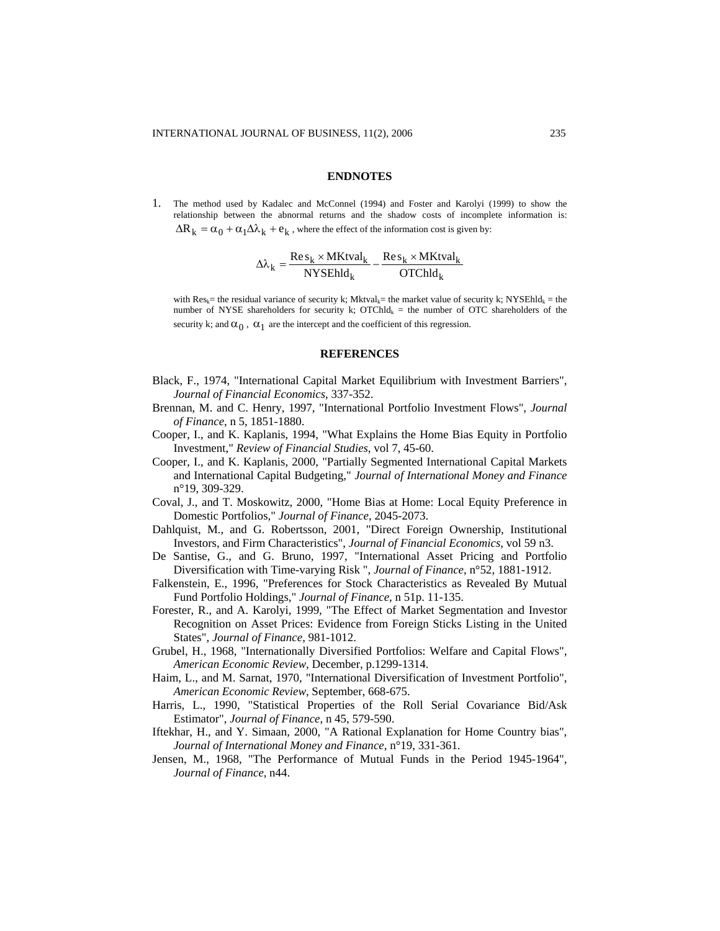#### **ENDNOTES**

1. The method used by Kadalec and McConnel (1994) and Foster and Karolyi (1999) to show the relationship between the abnormal returns and the shadow costs of incomplete information is:  $\Delta R_k = \alpha_0 + \alpha_1 \Delta \lambda_k + e_k$ , where the effect of the information cost is given by:

$$
\Delta\lambda_k = \frac{Res_k \times MKtval_k}{NYSEhld_k} - \frac{Res_k \times MKtval_k}{OTChld_k}
$$

with  $\text{Res}_k$ = the residual variance of security k; Mktval<sub>k</sub>= the market value of security k; NYSEhld<sub>k</sub> = the number of NYSE shareholders for security k; OTChl $d_k$  = the number of OTC shareholders of the security k; and  $\alpha_0$ ,  $\alpha_1$  are the intercept and the coefficient of this regression.

### **REFERENCES**

- Black, F., 1974, "International Capital Market Equilibrium with Investment Barriers", *Journal of Financial Economics*, 337-352.
- Brennan, M. and C. Henry, 1997, "International Portfolio Investment Flows", *Journal of Finance*, n 5, 1851-1880.
- Cooper, I., and K. Kaplanis, 1994, "What Explains the Home Bias Equity in Portfolio Investment," *Review of Financial Studies*, vol 7, 45-60.
- Cooper, I., and K. Kaplanis, 2000, "Partially Segmented International Capital Markets and International Capital Budgeting," *Journal of International Money and Finance* n°19, 309-329.
- Coval, J., and T. Moskowitz, 2000, "Home Bias at Home: Local Equity Preference in Domestic Portfolios," *Journal of Finance*, 2045-2073.
- Dahlquist, M., and G. Robertsson, 2001, "Direct Foreign Ownership, Institutional Investors, and Firm Characteristics", *Journal of Financial Economics*, vol 59 n3.
- De Santise, G., and G. Bruno, 1997, "International Asset Pricing and Portfolio Diversification with Time-varying Risk ", *Journal of Finance*, n°52, 1881-1912.
- Falkenstein, E., 1996, "Preferences for Stock Characteristics as Revealed By Mutual Fund Portfolio Holdings," *Journal of Finance*, n 51p. 11-135.
- Forester, R., and A. Karolyi, 1999, "The Effect of Market Segmentation and Investor Recognition on Asset Prices: Evidence from Foreign Sticks Listing in the United States", *Journal of Finance*, 981-1012.
- Grubel, H., 1968, "Internationally Diversified Portfolios: Welfare and Capital Flows", *American Economic Review*, December, p.1299-1314.
- Haim, L., and M. Sarnat, 1970, "International Diversification of Investment Portfolio", *American Economic Review*, September, 668-675.
- Harris, L., 1990, "Statistical Properties of the Roll Serial Covariance Bid/Ask Estimator", *Journal of Finance*, n 45, 579-590.
- Iftekhar, H., and Y. Simaan, 2000, "A Rational Explanation for Home Country bias", *Journal of International Money and Finance*, n°19, 331-361.
- Jensen, M., 1968, "The Performance of Mutual Funds in the Period 1945-1964", *Journal of Finance*, n44.